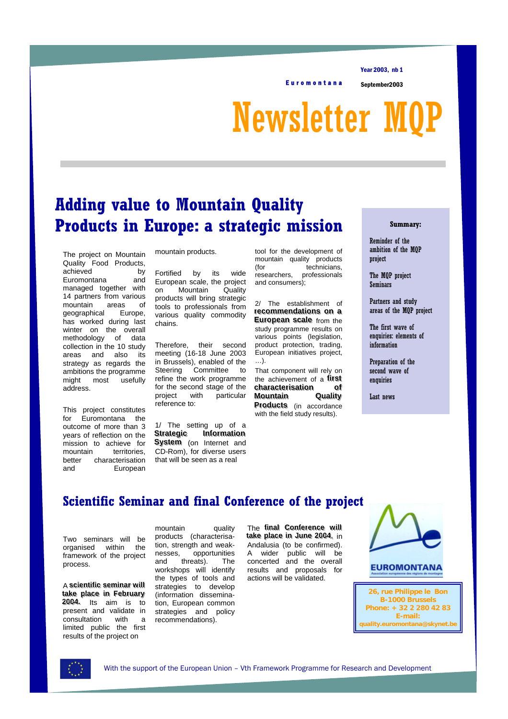Euromontana September2003

Year 2003, nb 1

Newsletter M

# **Adding value to Mountain Quality Products in Europe: a strategic mission**

The project on Mountain Quality Food Products, achieved by Euromontana and managed together with 14 partners from various mountain areas of geographical Europe, has worked during last winter on the overall methodology of data collection in the 10 study areas and also its strategy as regards the ambitions the programme might most usefully address.

This project constitutes for Euromontana the outcome of more than 3 years of reflection on the mission to achieve for mountain territories, better characterisation and European

mountain products.

Fortified by its wide European scale, the project on Mountain Quality products will bring strategic tools to professionals from various quality commodity chains.

Therefore, their second meeting (16-18 June 2003 in Brussels), enabled of the Steering Committee to refine the work programme for the second stage of the project with particular reference to:

1/ The setting up of a **Strategi** *ic* **Information System** (on Internet and CD-Rom), for diverse users that will be seen as a real

tool for the development of mountain quality products (for technicians,<br>researchers, professionals professionals and consumers);

2/ The establishment of **recommendations** on a **European scale** from the study programme results on various points (legislation, product protection, trading, European initiatives project, …).

That component will rely on the achievement of a **first characterisation** of **Mountain** i**n** Qualit **Mountain Quality**<br>**Products** (in accordance with the field study results).

#### **Summary:**

Reminder of the ambition of the MQP project

The MQP project **Seminars** 

Partners and study areas of the MQP project

The first wave of enquiries: elements of information

Preparation of the second wave of enquiries

Last news

# **Scientific Seminar and final Conference of the project**

Two seminars will be organised within the framework of the project process.

A scientific seminar will **take place in February**<br>**2004.** Its aim is to present and validate in<br>consultation with a consultation with a limited public the first results of the project on

mountain quality products (characterisation, strength and weaknesses, opportunities and threats). The workshops will identify the types of tools and strategies to develop (information dissemination, European common strategies and policy recommendations).

**The final Conference will take place in June 2004**, in Andalusia (to be confirmed). A wider public will be concerted and the overall results and proposals for actions will be validated.



### **EUROMONTANA**

**26, rue Philippe le Bon B-1000 Brussels Phone: + 32 2 280 42 83 E-mail: quality.euromontana@skynet.be**

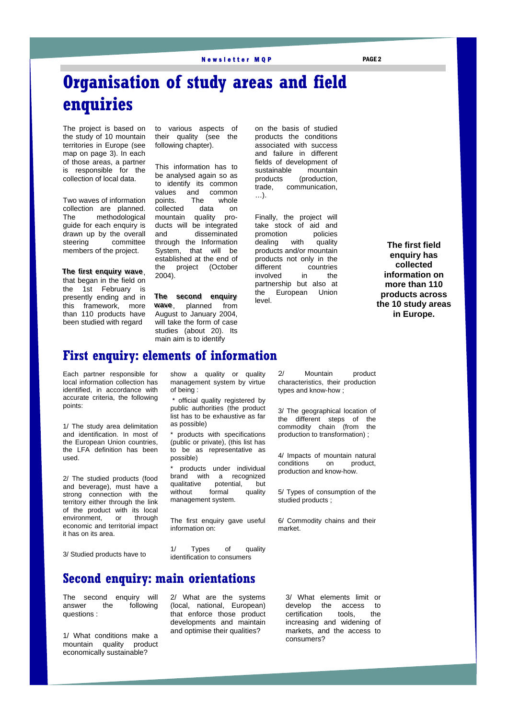#### Newsletter MQP PAGE 2

# **Organisation of study areas and field enquiries**

The project is based on the study of 10 mountain territories in Europe (see map on page 3). In each of those areas, a partner is responsible for the collection of local data.

Two waves of information collection are planned. The methodological guide for each enquiry is drawn up by the overall steering committee members of the project.

**The first enquiry wave,** that began in the field on the 1st February is presently ending and in this framework, more than 110 products have been studied with regard

to various aspects of their quality (see the following chapter).

This information has to be analysed again so as to identify its common<br>values and common and common points. The whole<br>collected data on collected data on mountain quality products will be integrated and disseminated through the Information System, that will be established at the end of the project (October 2004).

**The second enquiry** wave, planned from August to January 2004, will take the form of case studies (about 20). Its main aim is to identify

on the basis of studied products the conditions associated with success and failure in different fields of development of sustainable mountain products (production, trade, communication, …).

Finally, the project will take stock of aid and promotion policies<br>dealing with quality dealing with quality products and/or mountain products not only in the different countries<br>
involved in the involved in the partnership but also at the European Union level.

**The first field enquiry has collected information on more than 110 products across the 10 study areas in Europe.**

## **First enquiry: elements of information**

Each partner responsible for local information collection has identified, in accordance with accurate criteria, the following points:

1/ The study area delimitation and identification. In most of the European Union countries. the LFA definition has been used.

2/ The studied products (food and beverage), must have a strong connection with the territory either through the link of the product with its local environment, or through economic and territorial impact it has on its area.

show a quality or quality management system by virtue of being :

official quality registered by public authorities (the product list has to be exhaustive as far as possible)

\* products with specifications (public or private), (this list has to be as representative as possible)

products under individual brand with a recognized qualitative potential, but without formal quality management system.

The first enquiry gave useful information on:

1/ Types of quality identification to consumers

2/ Mountain product characteristics, their production types and know-how ;

3/ The geographical location of the different steps of the commodity chain (from the production to transformation) ;

4/ Impacts of mountain natural conditions on product, production and know-how.

5/ Types of consumption of the studied products ;

6/ Commodity chains and their market.

3/ Studied products have to

## **Second enquiry: main orientations**

The second enquiry will answer the following questions :

1/ What conditions make a mountain quality product economically sustainable?

2/ What are the systems (local, national, European) that enforce those product developments and maintain and optimise their qualities?

3/ What elements limit or develop the access to<br>certification tools. the certification tools, the increasing and widening of markets, and the access to consumers?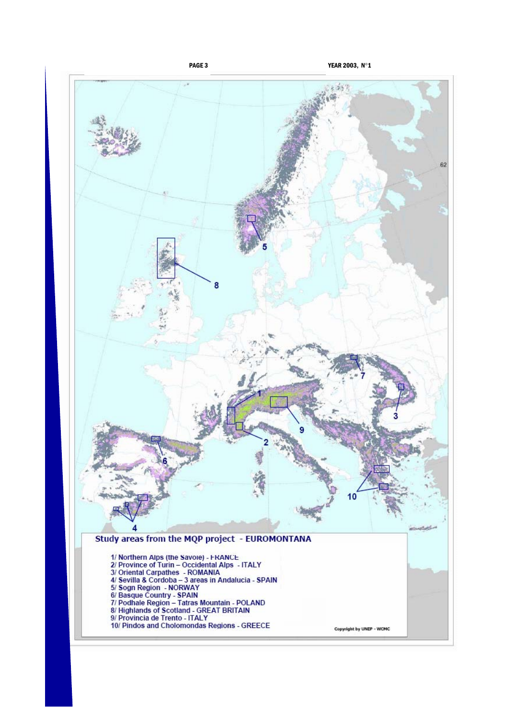